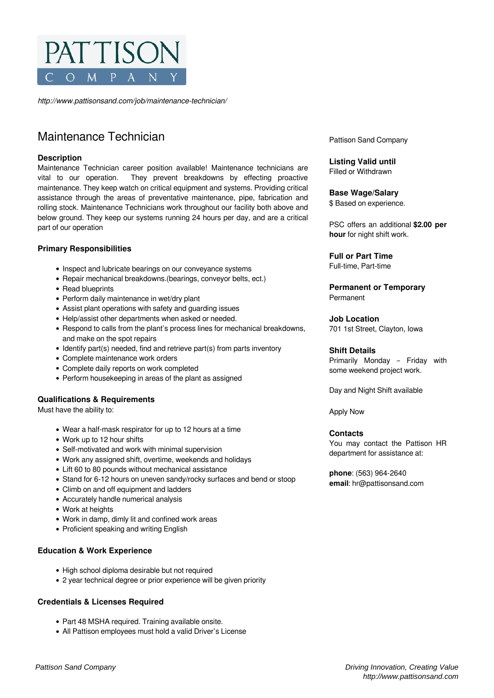

*http://www.pattisonsand.com/job/maintenance-technician/*

# Maintenance Technician

#### **Description**

Maintenance Technician career position available! Maintenance technicians are vital to our operation. They prevent breakdowns by effecting proactive maintenance. They keep watch on critical equipment and systems. Providing critical assistance through the areas of preventative maintenance, pipe, fabrication and rolling stock. Maintenance Technicians work throughout our facility both above and below ground. They keep our systems running 24 hours per day, and are a critical part of our operation

## **Primary Responsibilities**

- Inspect and lubricate bearings on our conveyance systems
- Repair mechanical breakdowns.(bearings, conveyor belts, ect.)
- Read blueprints
- Perform daily maintenance in wet/dry plant
- Assist plant operations with safety and guarding issues
- Help/assist other departments when asked or needed.
- Respond to calls from the plant's process lines for mechanical breakdowns, and make on the spot repairs
- Identify part(s) needed, find and retrieve part(s) from parts inventory
- Complete maintenance work orders
- Complete daily reports on work completed
- Perform housekeeping in areas of the plant as assigned

# **Qualifications & Requirements**

Must have the ability to:

- Wear a half-mask respirator for up to 12 hours at a time
- Work up to 12 hour shifts
- Self-motivated and work with minimal supervision
- Work any assigned shift, overtime, weekends and holidays
- Lift 60 to 80 pounds without mechanical assistance
- Stand for 6-12 hours on uneven sandy/rocky surfaces and bend or stoop
- Climb on and off equipment and ladders
- Accurately handle numerical analysis
- Work at heights
- Work in damp, dimly lit and confined work areas
- Proficient speaking and writing English

## **Education & Work Experience**

- High school diploma desirable but not required
- 2 year technical degree or prior experience will be given priority

# **Credentials & Licenses Required**

- Part 48 MSHA required. Training available onsite.
- All Pattison employees must hold a valid Driver's License

Pattison Sand Company

**Listing Valid until** Filled or Withdrawn

**Base Wage/Salary**

\$ Based on experience.

PSC offers an additional **\$2.00 per hour** for night shift work.

## **Full or Part Time**

Full-time, Part-time

**Permanent or Temporary** Permanent

**Job Location** 701 1st Street, Clayton, Iowa

#### **Shift Details**

Primarily Monday – Friday with some weekend project work.

Day and Night Shift available

Apply Now

#### **Contacts**

You may contact the Pattison HR department for assistance at:

**phone**: (563) 964-2640 **email**: hr@pattisonsand.com